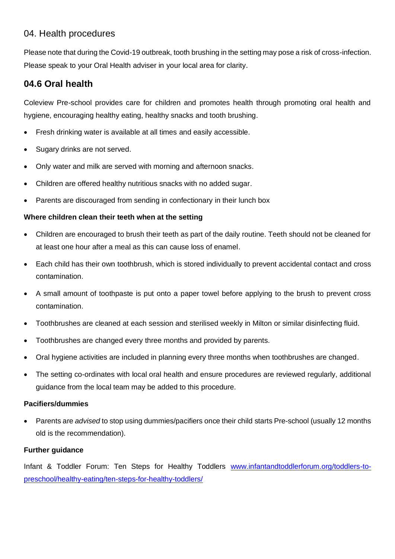## 04. Health procedures

Please note that during the Covid-19 outbreak, tooth brushing in the setting may pose a risk of cross-infection. Please speak to your Oral Health adviser in your local area for clarity.

# **04.6 Oral health**

Coleview Pre-school provides care for children and promotes health through promoting oral health and hygiene, encouraging healthy eating, healthy snacks and tooth brushing.

- Fresh drinking water is available at all times and easily accessible.
- Sugary drinks are not served.
- Only water and milk are served with morning and afternoon snacks.
- Children are offered healthy nutritious snacks with no added sugar.
- Parents are discouraged from sending in confectionary in their lunch box

## **Where children clean their teeth when at the setting**

- Children are encouraged to brush their teeth as part of the daily routine. Teeth should not be cleaned for at least one hour after a meal as this can cause loss of enamel.
- Each child has their own toothbrush, which is stored individually to prevent accidental contact and cross contamination.
- A small amount of toothpaste is put onto a paper towel before applying to the brush to prevent cross contamination.
- Toothbrushes are cleaned at each session and sterilised weekly in Milton or similar disinfecting fluid.
- Toothbrushes are changed every three months and provided by parents.
- Oral hygiene activities are included in planning every three months when toothbrushes are changed.
- The setting co-ordinates with local oral health and ensure procedures are reviewed regularly, additional guidance from the local team may be added to this procedure.

### **Pacifiers/dummies**

• Parents are *advised* to stop using dummies/pacifiers once their child starts Pre-school (usually 12 months old is the recommendation).

### **Further guidance**

Infant & Toddler Forum: Ten Steps for Healthy Toddlers [www.infantandtoddlerforum.org/toddlers-to](http://www.infantandtoddlerforum.org/toddlers-to-preschool/healthy-eating/ten-steps-for-healthy-toddlers/)[preschool/healthy-eating/ten-steps-for-healthy-toddlers/](http://www.infantandtoddlerforum.org/toddlers-to-preschool/healthy-eating/ten-steps-for-healthy-toddlers/)